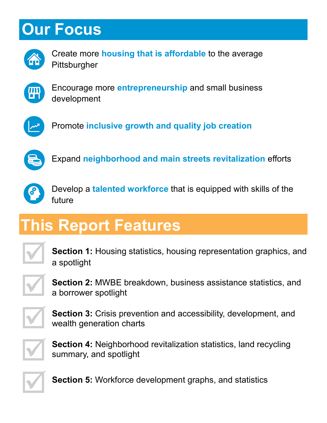## **Our Focus**



Create more **housing that is affordable** to the average **Pittsburgher** 



Encourage more **entrepreneurship** and small business development



Promote **inclusive growth and quality job creation**



Expand **neighborhood and main streets revitalization** efforts



Develop a **talented workforce** that is equipped with skills of the future

# **This Report Features**



**Section 1:** Housing statistics, housing representation graphics, and a spotlight

**Section 2:** MWBE breakdown, business assistance statistics, and a borrower spotlight

**Section 3:** Crisis prevention and accessibility, development, and wealth generation charts

**Section 4:** Neighborhood revitalization statistics, land recycling summary, and spotlight

**Section 5:** Workforce development graphs, and statistics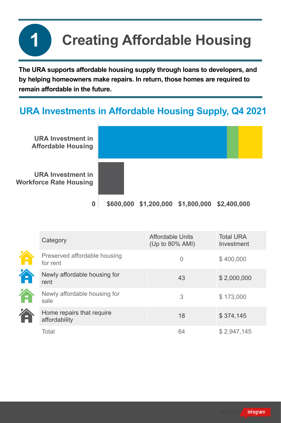# **Creating Affordable Housing**

**The URA supports affordable housing supply through loans to developers, and by helping homeowners make repairs. In return, those homes are required to remain affordable in the future.**

**1**

## **URA Investments in Affordable Housing Supply, Q4 2021**



| Category                                   | <b>Affordable Units</b><br>(Up to $80\%$ AMI) | <b>Total URA</b><br>Investment |
|--------------------------------------------|-----------------------------------------------|--------------------------------|
| Preserved affordable housing<br>for rent   | 0                                             | \$400,000                      |
| Newly affordable housing for<br>rent       | 43                                            | \$2,000,000                    |
| Newly affordable housing for<br>sale       | 3                                             | \$173,000                      |
| Home repairs that require<br>affordability | 18                                            | \$374,145                      |
| Total                                      | 64                                            | \$2,947,145                    |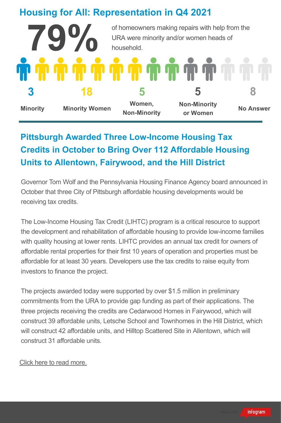| <b>Housing for All: Representation in Q4 2021</b> |                       |                               |                                                                                            |                  |  |  |
|---------------------------------------------------|-----------------------|-------------------------------|--------------------------------------------------------------------------------------------|------------------|--|--|
|                                                   | 79%                   | household.                    | of homeowners making repairs with help from the<br>URA were minority and/or women heads of |                  |  |  |
|                                                   |                       |                               |                                                                                            |                  |  |  |
|                                                   |                       |                               |                                                                                            |                  |  |  |
| <b>Minority</b>                                   | <b>Minority Women</b> | Women,<br><b>Non-Minority</b> | <b>Non-Minority</b><br>or Women                                                            | <b>No Answer</b> |  |  |

## **Pittsburgh Awarded Three Low-Income Housing Tax Credits in October to Bring Over 112 Affordable Housing Units to Allentown, Fairywood, and the Hill District**

Governor Tom Wolf and the Pennsylvania Housing Finance Agency board announced in October that three City of Pittsburgh affordable housing developments would be receiving tax credits.

The Low-Income Housing Tax Credit (LIHTC) program is a critical resource to support the development and rehabilitation of affordable housing to provide low-income families with quality housing at lower rents. LIHTC provides an annual tax credit for owners of affordable rental properties for their first 10 years of operation and properties must be affordable for at least 30 years. Developers use the tax credits to raise equity from investors to finance the project.

The projects awarded today were supported by over \$1.5 million in preliminary commitments from the URA to provide gap funding as part of their applications. The three projects receiving the credits are Cedarwood Homes in Fairywood, which will construct 39 affordable units, Letsche School and Townhomes in the Hill District, which will construct 42 affordable units, and Hilltop Scattered Site in Allentown, which will construct 31 affordable units.

Click here to read [more.](https://www.ura.org/news/pittsburgh-awarded-three-low-income-housing-tax-credits-to-bring-over-112-affordable-housing-units-to-allentown-fairywood-and-hill-district)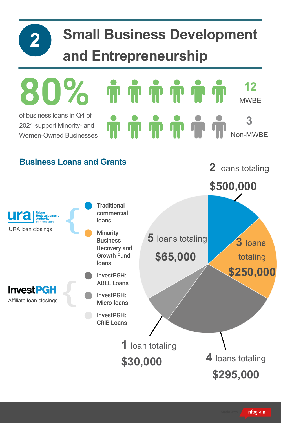

# **Small Business Development and Entrepreneurship**

**8 0 % 12 MWRF** of busin ess loan s in Q4 of **3** 2021 support Minority- and Non-MWBE Women-Owned Businesses **Business Loans and Grants 2** loans totaling **\$500,000** { **Traditional** Urban<br>Redevelo<br>Authority commercial elopment loans URA loan closings **Minority 5** loans totaling **3** loans **Business** Recovery and **\$65,000** Growth Fund totaling loans { **\$250,000** InvestPGH: ABEL Loans **InvestPGH** InvestPGH: Affiliate loan closings Micro-loans InvestPGH: CRiB Loans **1** loan totaling **\$30,000 4** loans totaling **\$295,000**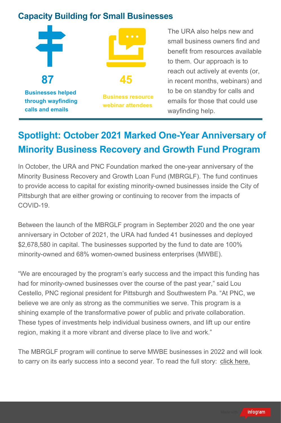#### **Capacity Building for Small Businesses**



The URA also helps new and small business owners find and benefit from resources available to them. Our approach is to reach out actively at events (or, in recent months, webinars) and to be on standby for calls and emails for those that could use wayfinding help.

## **Spotlight: October 2021 Marked One-Year Anniversary of Minority Business Recovery and Growth Fund Program**

In October, the URA and PNC Foundation marked the one-year anniversary of the [Minority Business Recovery and Growth Loan Fund](https://www.ura.org/pages/mbrglf) (MBRGLF). The fund continues to provide access to capital for existing minority-owned businesses inside the City of Pittsburgh that are either growing or continuing to recover from the impacts of COVID-19.

Between the launch of the MBRGLF program in September 2020 and the one year anniversary in October of 2021, the URA had funded 41 businesses and deployed \$2,678,580 in capital. The businesses supported by the fund to date are 100% minority-owned and 68% women-owned business enterprises (MWBE).

"We are encouraged by the program's early success and the impact this funding has had for minority-owned businesses over the course of the past year," said Lou Cestello, PNC regional president for Pittsburgh and Southwestern Pa. "At PNC, we believe we are only as strong as the communities we serve. This program is a shining example of the transformative power of public and private collaboration. These types of investments help individual business owners, and lift up our entire region, making it a more vibrant and diverse place to live and work."

The MBRGLF program will continue to serve MWBE businesses in 2022 and will look to carry on its early success into a second year. To read the full story: c[lick here.](https://www.ura.org/news/minority-business-recovery-and-growth-loan-fund-program-marks-one-year-anniversary)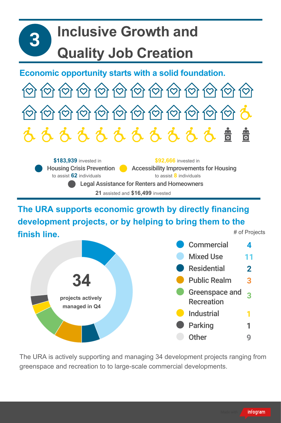

. **The URA supports economic growth by directly financing development projects, or by helping to bring them to the finish line.** # of Projects



The URA is actively supporting and managing 34 development projects ranging from greenspace and recreation to to large-scale commercial developments.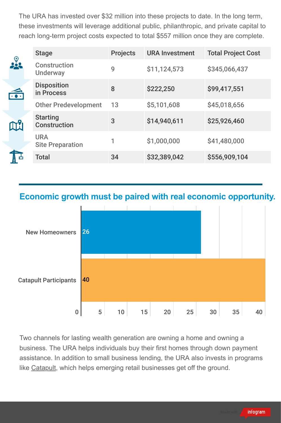The URA has invested over \$32 million into these projects to date. In the long term, these investments will leverage additional public, philanthropic, and private capital to reach long-term project costs expected to total \$557 million once they are complete.

| <u> စွ</u> | <b>Stage</b>                           | <b>Projects</b> | <b>URA Investment</b> | <b>Total Project Cost</b> |
|------------|----------------------------------------|-----------------|-----------------------|---------------------------|
|            | <b>Construction</b><br><b>Underway</b> | 9               | \$11,124,573          | \$345,066,437             |
|            | <b>Disposition</b><br>in Process       | 8               | \$222,250             | \$99,417,551              |
|            | <b>Other Predevelopment</b>            | 13              | \$5,101,608           | \$45,018,656              |
|            | <b>Starting</b><br><b>Construction</b> | 3               | \$14,940,611          | \$25,926,460              |
|            | <b>URA</b><br><b>Site Preparation</b>  |                 | \$1,000,000           | \$41,480,000              |
|            | <b>Total</b>                           | 34              | \$32,389,042          | \$556,909,104             |

#### **Economic growth must be paired with real economic opportunity.**



Two channels for lasting wealth generation are owning a home and owning a business. The URA helps individuals buy their first homes through down payment assistance. In addition to small business lending, the URA also invests in programs like [Catapult](https://catapultpittsburgh.org/programs/), which helps emerging retail businesses get off the ground.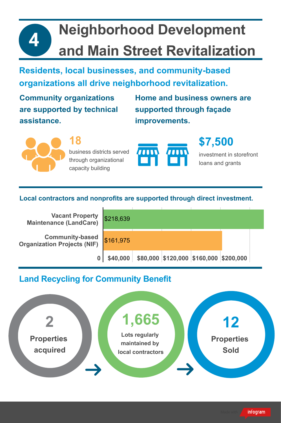## **4 Neighborhood Development and Main Street Revitalization**

**Residents, local businesses, and community-based organizations all drive neighborhood revitalization.**

**Community organizations are supported by technical assistance.**

**18**

**Home and business owners are supported through façade improvements.**



business districts served through organizational capacity building



**\$7,500**

investment in storefront loans and grants

#### **Local contractors and nonprofits are supported through direct investment.**

**Vacant Property Maintenance (LandCare)**

**Community-based Organization Projects (NIF)**



#### **Land Recycling for Community Benefit**

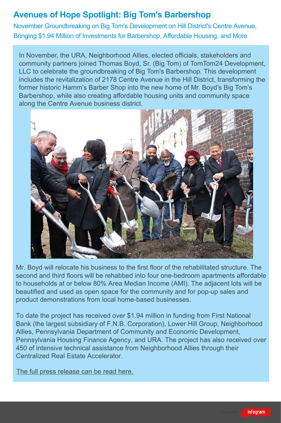#### **Avenues of Hope Spotlight: Big Tom's Barbershop**

November Groundbreaking on Big Tom's Development on Hill District's Centre Avenue, Bringing \$1.94 Million of Investments for Barbershop, Affordable Housing, and More

In November, the URA, Neighborhood Allies, elected officials, stakeholders and community partners joined Thomas Boyd, Sr. (Big Tom) of TomTom24 Development, LLC to celebrate the groundbreaking of Big Tom's Barbershop. This development includes the revitalization of 2178 Centre Avenue in the Hill District, transforming the former historic Hamm's Barber Shop into the new home of Mr. Boyd's Big Tom's Barbershop, while also creating affordable housing units and community space along the Centre Avenue business district.



Mr. Boyd will relocate his business to the first floor of the rehabilitated structure. The second and third floors will be rehabbed into four one-bedroom apartments affordable to households at or below 80% Area Median Income (AMI). The adjacent lots will be beautified and used as open space for the community and for pop-up sales and product demonstrations from local home-based businesses.

To date the project has received over \$1.94 million in funding from First National Bank (the largest subsidiary of F.N.B. Corporation), Lower Hill Group, Neighborhood Allies, Pennsylvania Department of Community and Economic Development, Pennsylvania Housing Finance Agency, and URA. The project has also received over 450 of intensive technical assistance from Neighborhood Allies through their Centralized Real Estate Accelerator.

[The full press release can be read here.](https://www.ura.org/news/city-joins-big-tom-s-groundbreaking-bringing-1-94-million-of-investments-for-barbershop-affordable-housing-and-community-revitalization-project-on-hill-district-s-centre-avenue-business-corridor)